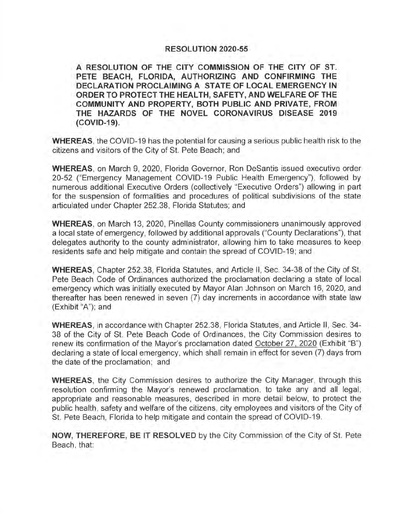## **RESOLUTION 2020-55**

**A RESOLUTION OF THE CITY COMMISSION OF THE CITY OF ST. PETE BEACH, FLORIDA, AUTHORIZING AND CONFIRMING THE DECLARATION PROCLAIMING A STATE OF LOCAL EMERGENCY IN ORDER TO PROTECT THE HEAL TH, SAFETY, AND WELFARE OF THE COMMUNITY AND PROPERTY, BOTH PUBLIC AND PRIVATE, FROM THE HAZARDS OF THE NOVEL CORONAVIRUS DISEASE 2019 (COVID-19).** 

**WHEREAS,** the COVID-19 has the potential for causing a serious public health risk to the citizens and visitors of the City of St. Pete Beach; and

**WHEREAS,** on March 9, 2020, Florida Governor, Ron Desantis issued executive order 20-52 ("Emergency Management COVID-19 Public Health Emergency"), followed by numerous additional Executive Orders (collectively "Executive Orders") allowing in part for the suspension of formalities and procedures of political subdivisions of the state articulated under Chapter 252.38, Florida Statutes; and

**WHEREAS,** on March 13, 2020, Pinellas County commissioners unanimously approved a local state of emergency, followed by additional approvals ("County Declarations"), that delegates authority to the county administrator, allowing him to take measures to keep residents safe and help mitigate and contain the spread of COVID-19; and

**WHEREAS,** Chapter 252.38, Florida Statutes, and Article II, Sec. 34-38 of the City of St. Pete Beach Code of Ordinances authorized the proclamation declaring a state of local emergency which was initially executed by Mayor Alan Johnson on March 16, 2020, and thereafter has been renewed in seven (7) day increments in accordance with state law (Exhibit "A"); and

**WHEREAS,** in accordance with Chapter 252.38, Florida Statutes, and Article II, Sec. 34- 38 of the City of St. Pete Beach Code of Ordinances, the City Commission desires to renew its confirmation of the Mayor's proclamation dated October 27, 2020 (Exhibit "B") declaring a state of local emergency, which shall remain in effect for seven (7) days from the date of the proclamation; and

**WHEREAS,** the City Commission desires to authorize the City Manager, through this resolution confirming the Mayor's renewed proclamation, to take any and all legal, appropriate and reasonable measures, described in more detail below, to protect the public health, safety and welfare of the citizens, city employees and visitors of the City of St. Pete Beach, Florida to help mitigate and contain the spread of COVID-19.

**NOW, THEREFORE, BE IT RESOLVED** by the City Commission of the City of St. Pete Beach, that: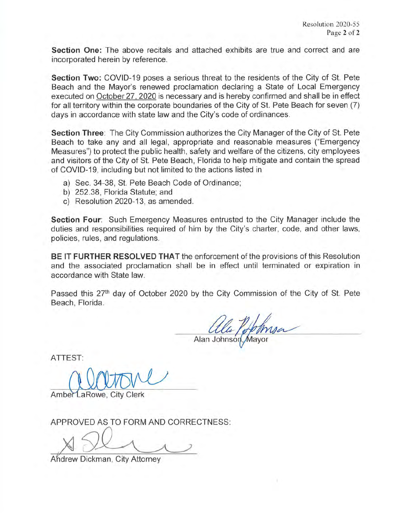**Section One:** The above recitals and attached exhibits are true and correct and are incorporated herein by reference.

**Section Two:** COVID-19 poses a serious threat to the residents of the City of St. Pete Beach and the Mayor's renewed proclamation declaring a State of Local Emergency executed on October 27, 2020 is necessary and is hereby confirmed and shall be in effect for all territory within the corporate boundaries of the City of St. Pete Beach for seven (7) days in accordance with state law and the City's code of ordinances.

**Section Three:** The City Commission authorizes the City Manager of the City of St. Pete Beach to take any and all legal, appropriate and reasonable measures ("Emergency Measures") to protect the public health, safety and welfare of the citizens, city employees and visitors of the City of St. Pete Beach, Florida to help mitigate and contain the spread of COVID-19, including but not limited to the actions listed in

- a) Sec. 34-38, St. Pete Beach Code of Ordinance;
- b) 252.38, Florida Statute; and
- c) Resolution 2020-13, as amended .

**Section Four:** Such Emergency Measures entrusted to the City Manager include the duties and responsibilities required of him by the City's charter, code, and other laws, policies, rules, and regulations.

**BE IT FURTHER RESOLVED THAT** the enforcement of the provisions of this Resolution and the associated proclamation shall be in effect until terminated or expiration in accordance with State law.

Passed this 27<sup>th</sup> day of October 2020 by the City Commission of the City of St. Pete Beach, Florida.

Alan Johnson

ATTEST:

Amber LaRowe, City Clerk

APPROVED AS TO FORM AND CORRECTNESS:

Andrew Dickman, City Attorney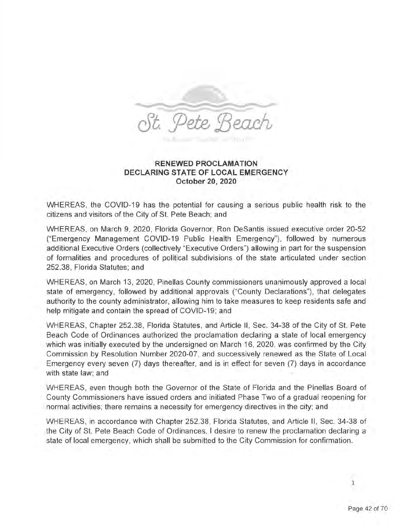

## **RENEWED PROCLAMATION DECLARING STATE OF LOCAL EMERGENCY October 20, 2020**

WHEREAS, the COVID-19 has the potential for causing a serious public health risk to the citizens and visitors of the City of St. Pete Beach; and

WHEREAS, on March 9, 2020, Florida Governor, Ron DeSantis issued executive order 20-52 ("Emergency Management COVID-19 Public Health Emergency"), followed by numerous additional Executive Orders (collectively "Executive Orders") allowing in part for the suspension of formalities and procedures of political subdivisions of the state articulated under section 252.38, Florida Statutes; and

WHEREAS, on March 13, 2020, Pinellas County commissioners unanimously approved a local state of emergency, followed by additional approvals ("County Declarations"), that delegates authority to the county administrator, allowing him to take measures to keep residents safe and help mitigate and contain the spread of COVID-19; and

WHEREAS, Chapter 252.38, Florida Statutes, and Article II, Sec. 34-38 of the City of St. Pete Beach Code of Ordinances authorized the proclamation declaring a state of local emergency which was initially executed by the undersigned on March 16, 2020, was confirmed by the City Commission by Resolution Number 2020-07, and successively renewed as the State of Local Emergency every seven (7) days thereafter, and is in effect for seven (7) days in accordance with state law; and

WHEREAS, even though both the Governor of the State of Florida and the Pinellas Board of County Commissioners have issued orders and initiated Phase Two of a gradual reopening for normal activities; there remains a necessity for emergency directives in the city; and

WHEREAS, in accordance with Chapter 252.38, Florida Statutes, and Article II , Sec. 34-38 of the City of St. Pete Beach Code of Ordinances, I desire to renew the proclamation declaring a state of local emergency, which shall be submitted to the City Commission for confirmation.